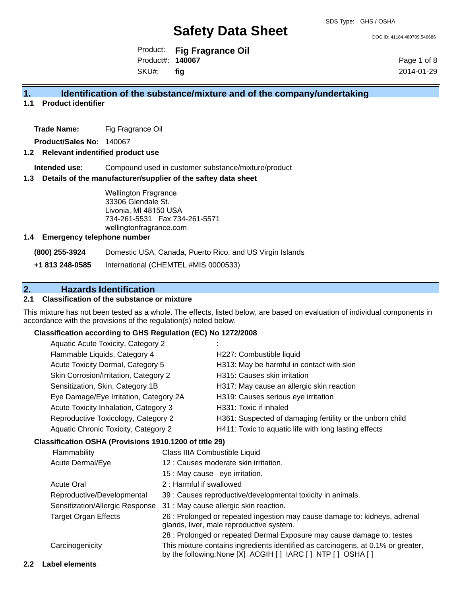DOC ID: 41184.480709.546686

Product: **Fig Fragrance Oil** Product#: **140067** SKU#: **fig**

Page 1 of 8 2014-01-29

## **1. Identification of the substance/mixture and of the company/undertaking**

**1.1 Product identifier**

**Trade Name:** Fig Fragrance Oil

**Product/Sales No:** 140067

#### **1.2 Relevant indentified product use**

**Intended use:** Compound used in customer substance/mixture/product

#### **1.3 Details of the manufacturer/supplier of the saftey data sheet**

Wellington Fragrance 33306 Glendale St. Livonia, MI 48150 USA 734-261-5531 Fax 734-261-5571 wellingtonfragrance.com

#### **1.4 Emergency telephone number**

**(800) 255-3924** Domestic USA, Canada, Puerto Rico, and US Virgin Islands

**+1 813 248-0585** International (CHEMTEL #MIS 0000533)

# **2. Hazards Identification**

#### **2.1 Classification of the substance or mixture**

This mixture has not been tested as a whole. The effects, listed below, are based on evaluation of individual components in accordance with the provisions of the regulation(s) noted below.

#### **Classification according to GHS Regulation (EC) No 1272/2008**

| Aquatic Acute Toxicity, Category 2     |                                                           |
|----------------------------------------|-----------------------------------------------------------|
| Flammable Liquids, Category 4          | H227: Combustible liquid                                  |
| Acute Toxicity Dermal, Category 5      | H313: May be harmful in contact with skin                 |
| Skin Corrosion/Irritation, Category 2  | H315: Causes skin irritation                              |
| Sensitization, Skin, Category 1B       | H317: May cause an allergic skin reaction                 |
| Eye Damage/Eye Irritation, Category 2A | H319: Causes serious eye irritation                       |
| Acute Toxicity Inhalation, Category 3  | H331: Toxic if inhaled                                    |
| Reproductive Toxicology, Category 2    | H361: Suspected of damaging fertility or the unborn child |
| Aquatic Chronic Toxicity, Category 2   | H411: Toxic to aquatic life with long lasting effects     |
|                                        |                                                           |

#### **Classification OSHA (Provisions 1910.1200 of title 29)**

| Flammability                    | Class IIIA Combustible Liquid                                                                                                                  |
|---------------------------------|------------------------------------------------------------------------------------------------------------------------------------------------|
| Acute Dermal/Eye                | 12 : Causes moderate skin irritation.                                                                                                          |
|                                 | 15 : May cause eye irritation.                                                                                                                 |
| <b>Acute Oral</b>               | 2 : Harmful if swallowed                                                                                                                       |
| Reproductive/Developmental      | 39 : Causes reproductive/developmental toxicity in animals.                                                                                    |
| Sensitization/Allergic Response | 31 : May cause allergic skin reaction.                                                                                                         |
| <b>Target Organ Effects</b>     | 26 : Prolonged or repeated ingestion may cause damage to: kidneys, adrenal<br>glands, liver, male reproductive system.                         |
|                                 | 28 : Prolonged or repeated Dermal Exposure may cause damage to: testes                                                                         |
| Carcinogenicity                 | This mixture contains ingredients identified as carcinogens, at 0.1% or greater,<br>by the following: None [X] ACGIH [] IARC [] NTP [] OSHA [] |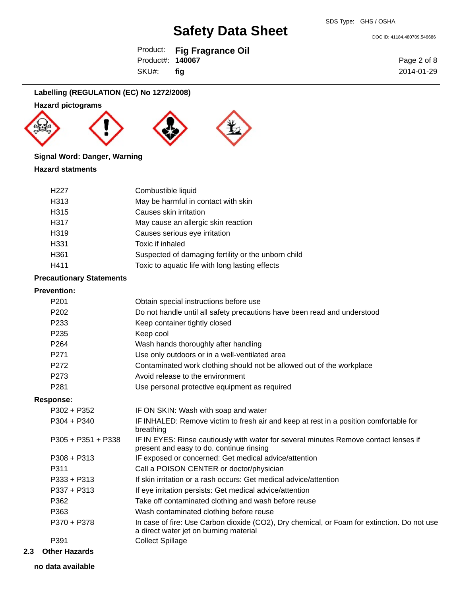DOC ID: 41184.480709.546686

|                         | Product: Fig Fragrance Oil |
|-------------------------|----------------------------|
| Product#: <b>140067</b> |                            |
| SKU#:                   | fig                        |

Page 2 of 8 2014-01-29

## **Labelling (REGULATION (EC) No 1272/2008)**

### **Hazard pictograms**







## **Signal Word: Danger, Warning**

#### **Hazard statments**

| May be harmful in contact with skin<br>H313<br>Causes skin irritation<br>H315 |
|-------------------------------------------------------------------------------|
|                                                                               |
|                                                                               |
| H317<br>May cause an allergic skin reaction                                   |
| Causes serious eye irritation<br>H <sub>319</sub>                             |
| H <sub>331</sub><br>Toxic if inhaled                                          |
| Suspected of damaging fertility or the unborn child<br>H <sub>361</sub>       |
| Toxic to aquatic life with long lasting effects<br>H411                       |

#### **Precautionary Statements**

### **Prevention:**

| P <sub>201</sub>   | Obtain special instructions before use                                                                                                |
|--------------------|---------------------------------------------------------------------------------------------------------------------------------------|
| P <sub>202</sub>   | Do not handle until all safety precautions have been read and understood                                                              |
| P <sub>233</sub>   | Keep container tightly closed                                                                                                         |
| P <sub>235</sub>   | Keep cool                                                                                                                             |
| P <sub>264</sub>   | Wash hands thoroughly after handling                                                                                                  |
| P <sub>271</sub>   | Use only outdoors or in a well-ventilated area                                                                                        |
| P272               | Contaminated work clothing should not be allowed out of the workplace                                                                 |
| P273               | Avoid release to the environment                                                                                                      |
| P <sub>281</sub>   | Use personal protective equipment as required                                                                                         |
| <b>Response:</b>   |                                                                                                                                       |
| $P302 + P352$      | IF ON SKIN: Wash with soap and water                                                                                                  |
| $P304 + P340$      | IF INHALED: Remove victim to fresh air and keep at rest in a position comfortable for<br>breathing                                    |
| P305 + P351 + P338 | IF IN EYES: Rinse cautiously with water for several minutes Remove contact lenses if<br>present and easy to do. continue rinsing      |
| $P308 + P313$      | IF exposed or concerned: Get medical advice/attention                                                                                 |
| P311               | Call a POISON CENTER or doctor/physician                                                                                              |
| $P333 + P313$      | If skin irritation or a rash occurs: Get medical advice/attention                                                                     |
| $P337 + P313$      | If eye irritation persists: Get medical advice/attention                                                                              |
| P362               | Take off contaminated clothing and wash before reuse                                                                                  |
| P363               | Wash contaminated clothing before reuse                                                                                               |
| P370 + P378        | In case of fire: Use Carbon dioxide (CO2), Dry chemical, or Foam for extinction. Do not use<br>a direct water jet on burning material |
| P391               | <b>Collect Spillage</b>                                                                                                               |
|                    |                                                                                                                                       |

**2.3 Other Hazards**

**no data available**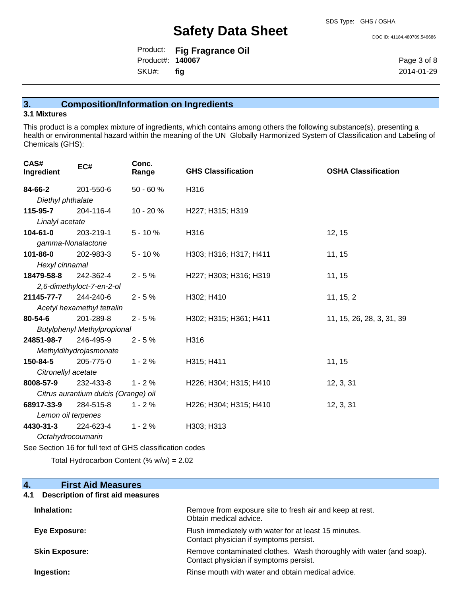Product: **Fig Fragrance Oil** Product#: **140067**

SKU#: **fig**

Page 3 of 8 2014-01-29

DOC ID: 41184.480709.546686

## **3. Composition/Information on Ingredients**

#### **3.1 Mixtures**

This product is a complex mixture of ingredients, which contains among others the following substance(s), presenting a health or environmental hazard within the meaning of the UN Globally Harmonized System of Classification and Labeling of Chemicals (GHS):

| CAS#<br>Ingredient                                       | EC#                                  | Conc.<br>Range | <b>GHS Classification</b> | <b>OSHA Classification</b> |  |
|----------------------------------------------------------|--------------------------------------|----------------|---------------------------|----------------------------|--|
| 84-66-2                                                  | 201-550-6                            | 50 - 60 %      | H316                      |                            |  |
| Diethyl phthalate                                        |                                      |                |                           |                            |  |
| 115-95-7                                                 | 204-116-4                            | 10 - 20 %      | H227; H315; H319          |                            |  |
| Linalyl acetate                                          |                                      |                |                           |                            |  |
| $104 - 61 - 0$                                           | 203-219-1                            | $5 - 10%$      | H316                      | 12, 15                     |  |
| gamma-Nonalactone                                        |                                      |                |                           |                            |  |
| 101-86-0                                                 | 202-983-3                            | $5 - 10%$      | H303; H316; H317; H411    | 11, 15                     |  |
| Hexyl cinnamal                                           |                                      |                |                           |                            |  |
| 18479-58-8                                               | 242-362-4                            | $2 - 5%$       | H227; H303; H316; H319    | 11, 15                     |  |
|                                                          | 2,6-dimethyloct-7-en-2-ol            |                |                           |                            |  |
| 21145-77-7                                               | 244-240-6                            | $2 - 5%$       | H302; H410                | 11, 15, 2                  |  |
|                                                          | Acetyl hexamethyl tetralin           |                |                           |                            |  |
| 80-54-6                                                  | 201-289-8                            | $2 - 5%$       | H302; H315; H361; H411    | 11, 15, 26, 28, 3, 31, 39  |  |
|                                                          | <b>Butylphenyl Methylpropional</b>   |                |                           |                            |  |
| 24851-98-7                                               | 246-495-9                            | $2 - 5%$       | H316                      |                            |  |
|                                                          | Methyldihydrojasmonate               |                |                           |                            |  |
| 150-84-5                                                 | 205-775-0                            | $1 - 2%$       | H315; H411                | 11, 15                     |  |
| Citronellyl acetate                                      |                                      |                |                           |                            |  |
| 8008-57-9                                                | 232-433-8                            | $1 - 2%$       | H226; H304; H315; H410    | 12, 3, 31                  |  |
|                                                          | Citrus aurantium dulcis (Orange) oil |                |                           |                            |  |
| 68917-33-9                                               | 284-515-8                            | $1 - 2%$       | H226; H304; H315; H410    | 12, 3, 31                  |  |
| Lemon oil terpenes                                       |                                      |                |                           |                            |  |
| 4430-31-3                                                | 224-623-4                            | $1 - 2%$       | H303; H313                |                            |  |
|                                                          | Octahydrocoumarin                    |                |                           |                            |  |
| See Section 16 for full text of GHS classification codes |                                      |                |                           |                            |  |

Total Hydrocarbon Content (% w/w) = 2.02

# **4. First Aid Measures 4.1 Description of first aid measures Inhalation:** Remove from exposure site to fresh air and keep at rest. Obtain medical advice. **Eye Exposure:** Flush immediately with water for at least 15 minutes. Contact physician if symptoms persist. **Skin Exposure: Remove contaminated clothes. Wash thoroughly with water (and soap).** Remove contaminated clothes. Wash thoroughly with water (and soap). Contact physician if symptoms persist. **Ingestion: Rinse mouth with water and obtain medical advice. Rinse mouth with water and obtain medical advice.**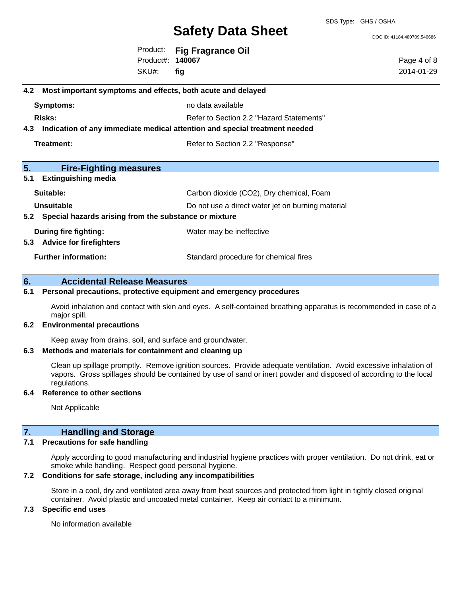SDS Type: GHS / OSHA

DOC ID: 41184.480709.546686

Product: **Fig Fragrance Oil** Product#: **140067** SKU#: **fig**

Page 4 of 8 2014-01-29

| 4.2 Most important symptoms and effects, both acute and delayed                |                                                   |  |  |
|--------------------------------------------------------------------------------|---------------------------------------------------|--|--|
| Symptoms:                                                                      | no data available                                 |  |  |
| Risks:                                                                         | Refer to Section 2.2 "Hazard Statements"          |  |  |
| 4.3 Indication of any immediate medical attention and special treatment needed |                                                   |  |  |
| Treatment:                                                                     | Refer to Section 2.2 "Response"                   |  |  |
| 5.<br><b>Fire-Fighting measures</b>                                            |                                                   |  |  |
| 5.1<br><b>Extinguishing media</b>                                              |                                                   |  |  |
| Suitable:                                                                      | Carbon dioxide (CO2), Dry chemical, Foam          |  |  |
| Unsuitable                                                                     | Do not use a direct water jet on burning material |  |  |
| 5.2 Special hazards arising from the substance or mixture                      |                                                   |  |  |
| During fire fighting:                                                          | Water may be ineffective                          |  |  |
| 5.3 Advice for firefighters                                                    |                                                   |  |  |
| <b>Further information:</b>                                                    | Standard procedure for chemical fires             |  |  |
|                                                                                |                                                   |  |  |

## **6. Accidental Release Measures**

## **6.1 Personal precautions, protective equipment and emergency procedures**

Avoid inhalation and contact with skin and eyes. A self-contained breathing apparatus is recommended in case of a major spill.

### **6.2 Environmental precautions**

Keep away from drains, soil, and surface and groundwater.

## **6.3 Methods and materials for containment and cleaning up**

Clean up spillage promptly. Remove ignition sources. Provide adequate ventilation. Avoid excessive inhalation of vapors. Gross spillages should be contained by use of sand or inert powder and disposed of according to the local regulations.

### **6.4 Reference to other sections**

Not Applicable

# **7. Handling and Storage**

# **7.1 Precautions for safe handling**

Apply according to good manufacturing and industrial hygiene practices with proper ventilation. Do not drink, eat or smoke while handling. Respect good personal hygiene.

# **7.2 Conditions for safe storage, including any incompatibilities**

Store in a cool, dry and ventilated area away from heat sources and protected from light in tightly closed original container. Avoid plastic and uncoated metal container. Keep air contact to a minimum.

## **7.3 Specific end uses**

No information available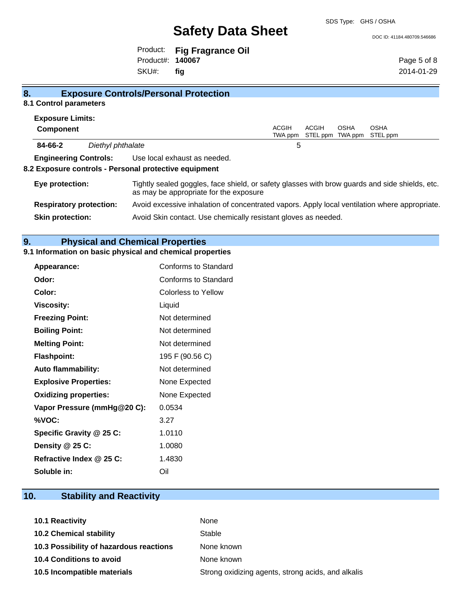#### DOC ID: 41184.480709.546686

Product: **Fig Fragrance Oil** Product#: **140067** SKU#: **fig**

Page 5 of 8 2014-01-29

| 8.<br><b>Exposure Controls/Personal Protection</b> |                                |                                                                                                                                          |                         |                          |                        |                         |
|----------------------------------------------------|--------------------------------|------------------------------------------------------------------------------------------------------------------------------------------|-------------------------|--------------------------|------------------------|-------------------------|
| 8.1 Control parameters                             |                                |                                                                                                                                          |                         |                          |                        |                         |
| <b>Exposure Limits:</b>                            |                                |                                                                                                                                          |                         |                          |                        |                         |
| <b>Component</b>                                   |                                |                                                                                                                                          | <b>ACGIH</b><br>TWA ppm | <b>ACGIH</b><br>STEL ppm | <b>OSHA</b><br>TWA ppm | <b>OSHA</b><br>STEL ppm |
| 84-66-2                                            | Diethyl phthalate              |                                                                                                                                          | 5                       |                          |                        |                         |
| <b>Engineering Controls:</b>                       |                                | Use local exhaust as needed.                                                                                                             |                         |                          |                        |                         |
|                                                    |                                | 8.2 Exposure controls - Personal protective equipment                                                                                    |                         |                          |                        |                         |
| Eye protection:                                    |                                | Tightly sealed goggles, face shield, or safety glasses with brow guards and side shields, etc.<br>as may be appropriate for the exposure |                         |                          |                        |                         |
|                                                    | <b>Respiratory protection:</b> | Avoid excessive inhalation of concentrated vapors. Apply local ventilation where appropriate.                                            |                         |                          |                        |                         |
| <b>Skin protection:</b>                            |                                | Avoid Skin contact. Use chemically resistant gloves as needed.                                                                           |                         |                          |                        |                         |

# **9. Physical and Chemical Properties**

## **9.1 Information on basic physical and chemical properties**

| <b>Appearance:</b>           | Conforms to Standard       |
|------------------------------|----------------------------|
| Odor:                        | Conforms to Standard       |
| Color:                       | <b>Colorless to Yellow</b> |
| <b>Viscosity:</b>            | Liquid                     |
| <b>Freezing Point:</b>       | Not determined             |
| <b>Boiling Point:</b>        | Not determined             |
| <b>Melting Point:</b>        | Not determined             |
| <b>Flashpoint:</b>           | 195 F (90.56 C)            |
| <b>Auto flammability:</b>    | Not determined             |
| <b>Explosive Properties:</b> | None Expected              |
| <b>Oxidizing properties:</b> | None Expected              |
| Vapor Pressure (mmHg@20 C):  | 0.0534                     |
| %VOC:                        | 3.27                       |
| Specific Gravity @ 25 C:     | 1.0110                     |
| Density @ 25 C:              | 1.0080                     |
| Refractive Index @ 25 C:     | 1.4830                     |
| Soluble in:                  | Oil                        |

# **10. Stability and Reactivity**

| <b>10.1 Reactivity</b>                  | None                                               |
|-----------------------------------------|----------------------------------------------------|
| <b>10.2 Chemical stability</b>          | Stable                                             |
| 10.3 Possibility of hazardous reactions | None known                                         |
| <b>10.4 Conditions to avoid</b>         | None known                                         |
| 10.5 Incompatible materials             | Strong oxidizing agents, strong acids, and alkalis |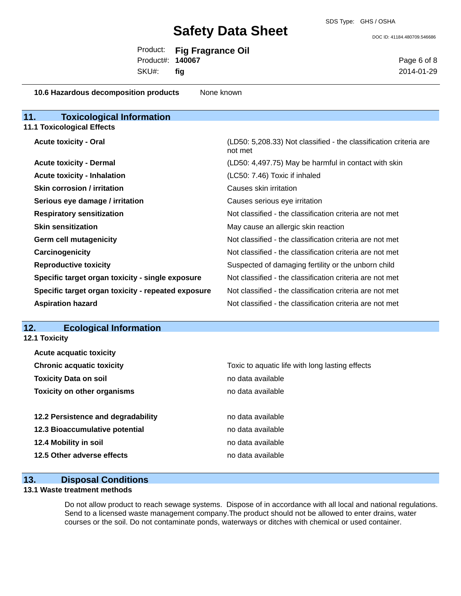DOC ID: 41184.480709.546686

|                         | Product: Fig Fragrance Oil |
|-------------------------|----------------------------|
| Product#: <b>140067</b> |                            |
| $SKU#$ : fig            |                            |

Page 6 of 8 2014-01-29

| 10.6 Hazardous decomposition products              | None known                                                                   |
|----------------------------------------------------|------------------------------------------------------------------------------|
| 11.<br><b>Toxicological Information</b>            |                                                                              |
| <b>11.1 Toxicological Effects</b>                  |                                                                              |
| <b>Acute toxicity - Oral</b>                       | (LD50: 5,208.33) Not classified - the classification criteria are<br>not met |
| <b>Acute toxicity - Dermal</b>                     | (LD50: 4,497.75) May be harmful in contact with skin                         |
| <b>Acute toxicity - Inhalation</b>                 | (LC50: 7.46) Toxic if inhaled                                                |
| <b>Skin corrosion / irritation</b>                 | Causes skin irritation                                                       |
| Serious eye damage / irritation                    | Causes serious eye irritation                                                |
| <b>Respiratory sensitization</b>                   | Not classified - the classification criteria are not met                     |
| <b>Skin sensitization</b>                          | May cause an allergic skin reaction                                          |
| <b>Germ cell mutagenicity</b>                      | Not classified - the classification criteria are not met                     |
| Carcinogenicity                                    | Not classified - the classification criteria are not met                     |
| <b>Reproductive toxicity</b>                       | Suspected of damaging fertility or the unborn child                          |
| Specific target organ toxicity - single exposure   | Not classified - the classification criteria are not met                     |
| Specific target organ toxicity - repeated exposure | Not classified - the classification criteria are not met                     |
| <b>Aspiration hazard</b>                           | Not classified - the classification criteria are not met                     |
|                                                    |                                                                              |

### **12. Ecological Information**

**12.1 Toxicity**

| <b>Acute acquatic toxicity</b>     |                                                 |
|------------------------------------|-------------------------------------------------|
| <b>Chronic acquatic toxicity</b>   | Toxic to aquatic life with long lasting effects |
| <b>Toxicity Data on soil</b>       | no data available                               |
| <b>Toxicity on other organisms</b> | no data available                               |
|                                    |                                                 |
| 12.2 Persistence and degradability | no data available                               |
| 12.3 Bioaccumulative potential     | no data available                               |
| 12.4 Mobility in soil              | no data available                               |
| 12.5 Other adverse effects         | no data available                               |
|                                    |                                                 |

### **13. Disposal Conditions**

#### **13.1 Waste treatment methods**

Do not allow product to reach sewage systems. Dispose of in accordance with all local and national regulations. Send to a licensed waste management company.The product should not be allowed to enter drains, water courses or the soil. Do not contaminate ponds, waterways or ditches with chemical or used container.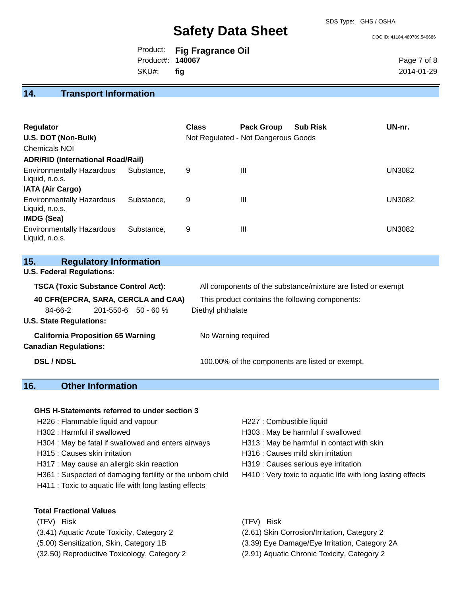DOC ID: 41184.480709.546686

|                         | Product: Fig Fragrance Oil |
|-------------------------|----------------------------|
| Product#: <b>140067</b> |                            |
| SKU#: fig               |                            |

Page 7 of 8 2014-01-29

### **14. Transport Information**

| <b>Regulator</b><br>U.S. DOT (Non-Bulk)<br><b>Chemicals NOI</b><br><b>ADR/RID (International Road/Rail)</b> |            | <b>Class</b> | <b>Pack Group</b><br>Not Regulated - Not Dangerous Goods | <b>Sub Risk</b> | UN-nr.        |
|-------------------------------------------------------------------------------------------------------------|------------|--------------|----------------------------------------------------------|-----------------|---------------|
| <b>Environmentally Hazardous</b><br>Liquid, n.o.s.<br><b>IATA (Air Cargo)</b>                               | Substance. | 9            | Ш                                                        |                 | <b>UN3082</b> |
| <b>Environmentally Hazardous</b><br>Liquid, n.o.s.<br><b>IMDG (Sea)</b>                                     | Substance. | 9            | Ш                                                        |                 | <b>UN3082</b> |
| <b>Environmentally Hazardous</b><br>Liquid, n.o.s.                                                          | Substance. | 9            | Ш                                                        |                 | <b>UN3082</b> |

| 15. | <b>Regulatory Information</b> |
|-----|-------------------------------|
|-----|-------------------------------|

**U.S. Federal Regulations:**

| <b>TSCA (Toxic Substance Control Act):</b> |                                          | All components of the substance/mixture are listed or exempt |  |
|--------------------------------------------|------------------------------------------|--------------------------------------------------------------|--|
|                                            | 40 CFR(EPCRA, SARA, CERCLA and CAA)      | This product contains the following components:              |  |
| 84-66-2                                    | $201 - 550 - 6$ 50 - 60 %                | Diethyl phthalate                                            |  |
| <b>U.S. State Regulations:</b>             |                                          |                                                              |  |
|                                            | <b>California Proposition 65 Warning</b> | No Warning required                                          |  |
| <b>Canadian Regulations:</b>               |                                          |                                                              |  |
| <b>DSL / NDSL</b>                          |                                          | 100.00% of the components are listed or exempt.              |  |

# **16. Other Information**

#### **GHS H-Statements referred to under section 3**

- H226 : Flammable liquid and vapour **H227** : Combustible liquid
- 
- H304 : May be fatal if swallowed and enters airways H313 : May be harmful in contact with skin
- 
- H317 : May cause an allergic skin reaction **H319** : Causes serious eye irritation
- H361 : Suspected of damaging fertility or the unborn child H410 : Very toxic to aquatic life with long lasting effects
- H411 : Toxic to aquatic life with long lasting effects
- 
- H302 : Harmful if swallowed H303 : May be harmful if swallowed
	-
- H315 : Causes skin irritation et al. (a) H316 : Causes mild skin irritation
	-
	-

- **Total Fractional Values**
- (TFV) Risk (TFV) Risk
- (3.41) Aquatic Acute Toxicity, Category 2 (2.61) Skin Corrosion/Irritation, Category 2
- 
- (32.50) Reproductive Toxicology, Category 2 (2.91) Aquatic Chronic Toxicity, Category 2
- 
- 
- (5.00) Sensitization, Skin, Category 1B (3.39) Eye Damage/Eye Irritation, Category 2A
	-